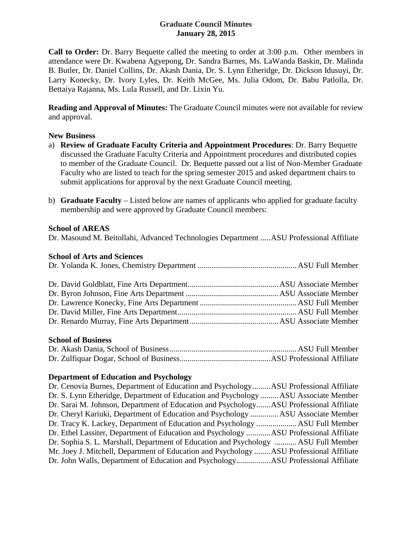# **Graduate Council Minutes January 28, 2015**

**Call to Order:** Dr. Barry Bequette called the meeting to order at 3:00 p.m. Other members in attendance were Dr. Kwabena Agyepong, Dr. Sandra Barnes, Ms. LaWanda Baskin, Dr. Malinda B. Butler, Dr. Daniel Collins, Dr. Akash Dania, Dr. S. Lynn Etheridge, Dr. Dickson Idusuyi, Dr. Larry Konecky, Dr. Ivory Lyles, Dr. Keith McGee, Ms. Julia Odom, Dr. Babu Patlolla, Dr. Bettaiya Rajanna, Ms. Lula Russell, and Dr. Lixin Yu.

**Reading and Approval of Minutes:** The Graduate Council minutes were not available for review and approval.

## **New Business**

- a) **Review of Graduate Faculty Criteria and Appointment Procedures**: Dr. Barry Bequette discussed the Graduate Faculty Criteria and Appointment procedures and distributed copies to member of the Graduate Council. Dr. Bequette passed out a list of Non-Member Graduate Faculty who are listed to teach for the spring semester 2015 and asked department chairs to submit applications for approval by the next Graduate Council meeting.
- b) **Graduate Faculty** Listed below are names of applicants who applied for graduate faculty membership and were approved by Graduate Council members:

## **School of AREAS**

Dr. Masound M. Beitollahi, Advanced Technologies Department .....ASU Professional Affiliate

#### **School of Arts and Sciences**

## **School of Business**

## **Department of Education and Psychology**

| Dr. Cenovia Burnes, Department of Education and PsychologyASU Professional Affiliate<br>Dr. S. Lynn Etheridge, Department of Education and Psychology  ASU Associate Member<br>Dr. Sarai M. Johnson, Department of Education and PsychologyASU Professional Affiliate<br>Dr. Cheryl Kariuki, Department of Education and Psychology  ASU Associate Member<br>Dr. Tracy K. Lackey, Department of Education and Psychology  ASU Full Member<br>Dr. Ethel Lassiter, Department of Education and Psychology ASU Professional Affiliate<br>Dr. Sophia S. L. Marshall, Department of Education and Psychology  ASU Full Member<br>Mr. Joey J. Mitchell, Department of Education and Psychology ASU Professional Affiliate |
|---------------------------------------------------------------------------------------------------------------------------------------------------------------------------------------------------------------------------------------------------------------------------------------------------------------------------------------------------------------------------------------------------------------------------------------------------------------------------------------------------------------------------------------------------------------------------------------------------------------------------------------------------------------------------------------------------------------------|